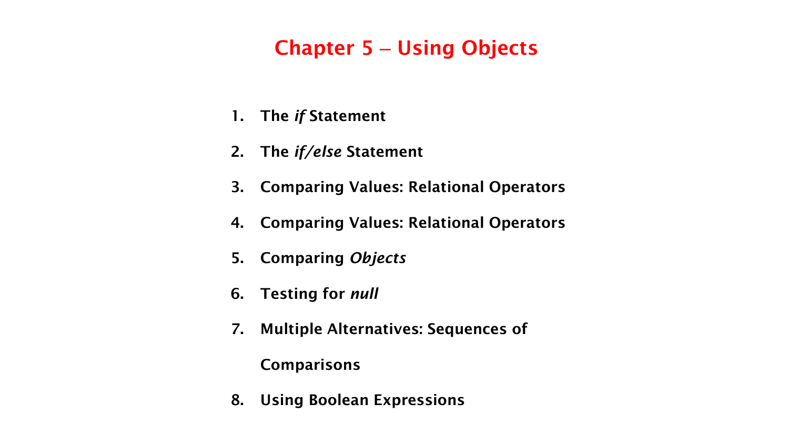## **Chapter 5** – **Using Objects**

- **1. The** *if* **Statement**
- **2. The** *if/else* **Statement**
- **3. Comparing Values: Relational Operators**
- **4. Comparing Values: Relational Operators**
- **5. Comparing** *Objects*
- **6. Testing for** *null*
- **7. Multiple Alternatives: Sequences of**

#### **Comparisons**

**8. Using Boolean Expressions**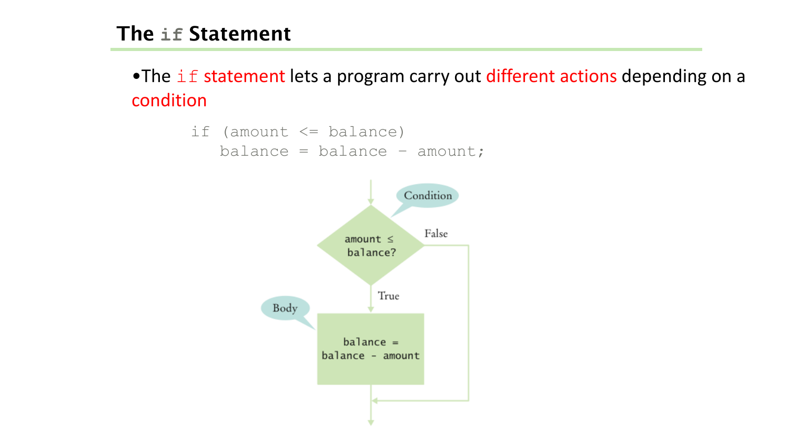•The if statement lets a program carry out different actions depending on a condition

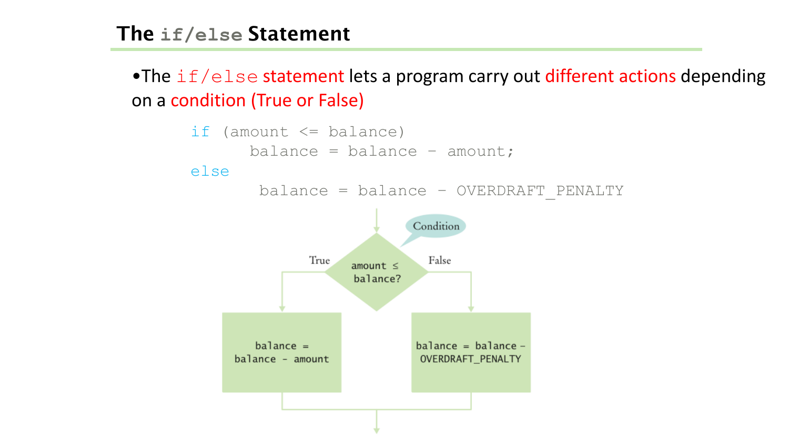•The  $if/else$  statement lets a program carry out different actions depending on a condition (True or False)

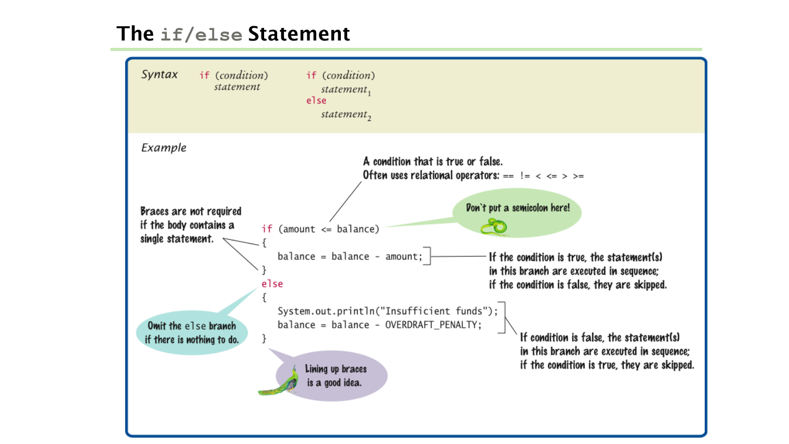#### **The if/else Statement**

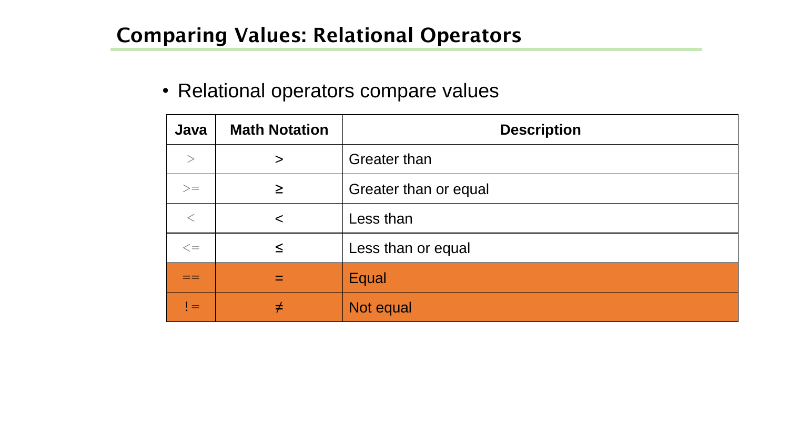### **Comparing Values: Relational Operators**

#### • Relational operators compare values

| Java   | <b>Math Notation</b> | <b>Description</b>    |
|--------|----------------------|-----------------------|
| $\geq$ | $\geq$               | <b>Greater than</b>   |
| $>=$   | $\geq$               | Greater than or equal |
| $\lt$  | $\prec$              | Less than             |
| $\leq$ | $\leq$               | Less than or equal    |
|        | $=$                  | Equal                 |
| $!=$   | ≠                    | Not equal             |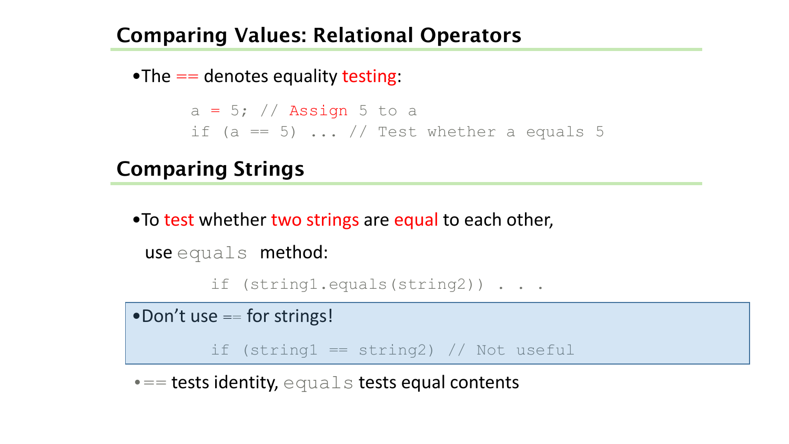#### **Comparing Values: Relational Operators**

•The  $==$  denotes equality testing:

 $a = 5$ ; // Assign 5 to a if (a == 5)  $\ldots$  // Test whether a equals 5

# **Comparing Strings**

•To test whether two strings are equal to each other,

```
use equals method:
```

```
if (string1.equals(string2)) . . .
```
• Don't use == for strings!

if (string $1 ==$  string $2)$  // Not useful

 $\bullet ==$  tests identity, equals tests equal contents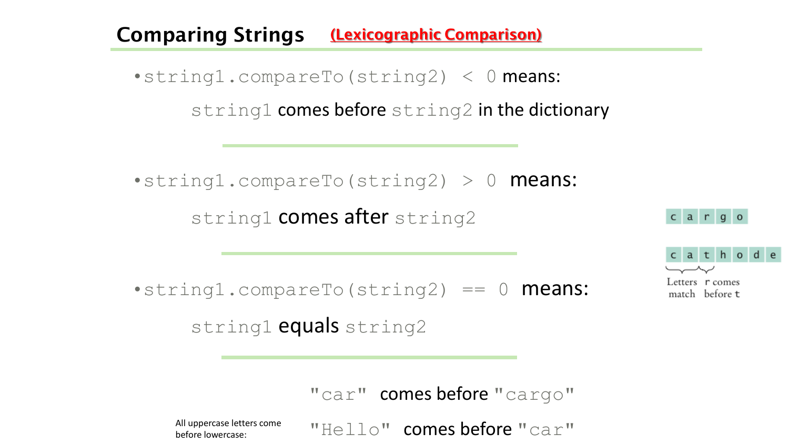#### **Comparing Strings (Lexicographic Comparison)**

•string1.compareTo(string2) < 0 means: string1 comes before string2 in the dictionary

•string1.compareTo(string2) > 0 **means:** string1 comes after string2

 $\texttt{-string1.compareTo}(\text{string2}) == 0 \text{ means:}$ 

string1 equals string2

"car" comes before "cargo"

before lowercase:

All uppercase letters come  $\blacksquare$   $\blacksquare$   $\blacksquare$   $\square$   $\square$   $\blacksquare$  **COMES** before  $\blacksquare$   $\text{Ca}$   $\mathcal{L}$   $\blacksquare$ 



cargo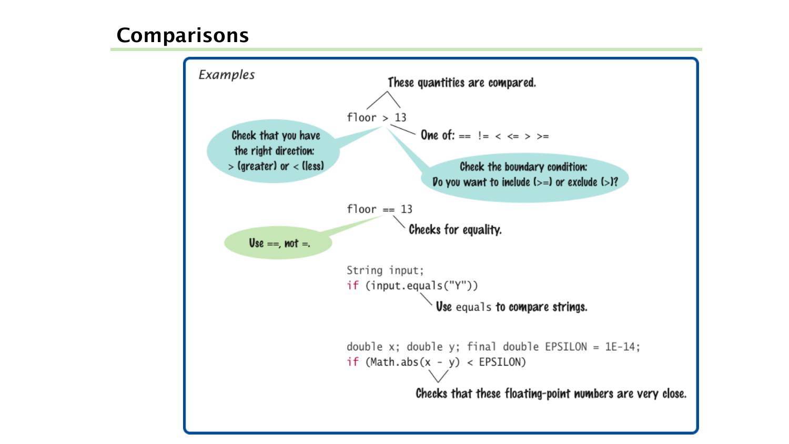#### **Comparisons**

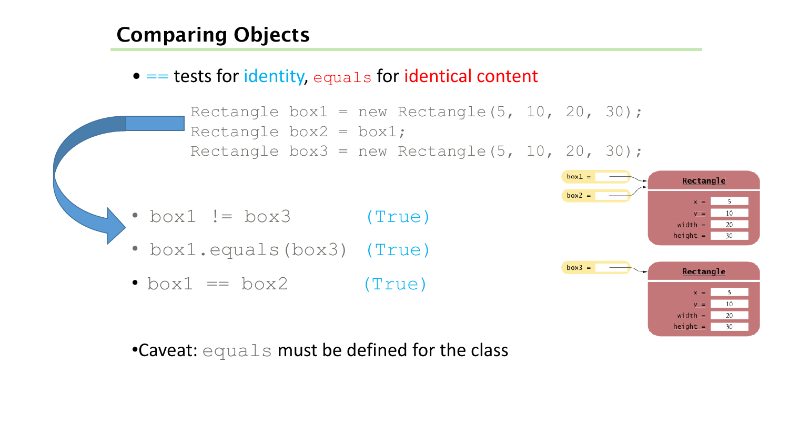## **Comparing Objects**

 $\bullet$  == tests for identity, equals for identical content

```
Rectangle box1 = new Rectangle(5, 10, 20, 30);
Rectangle box2 = box1;Rectangle box3 = new Rectangle(5, 10, 20, 30);
```
- box1 != box3 (True)
- box1.equals(box3) (True)
- $\bullet$  box1 == box2 (True)



20

30

 $width =$  $height =$ 

•Caveat: equals must be defined for the class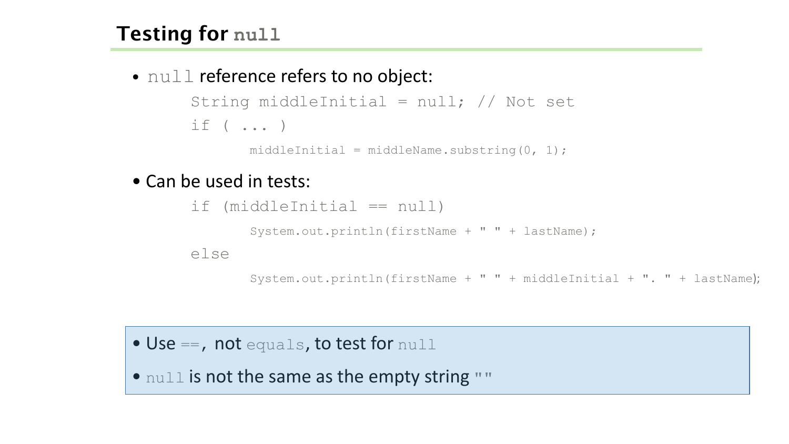## **Testing for null**

• null reference refers to no object:

```
String middleInitial = null; // Not set
if ( ... )
```
middleInitial = middleName.substring( $0, 1$ );

• Can be used in tests:

```
if (middleInitial == null)
       System.out.println(firstName + " " + lastName); 
else
```
System.out.println(firstName + " " + middleInitial + ". " + lastName);

• Use ==, not equals, to test for null

• null is not the same as the empty string ""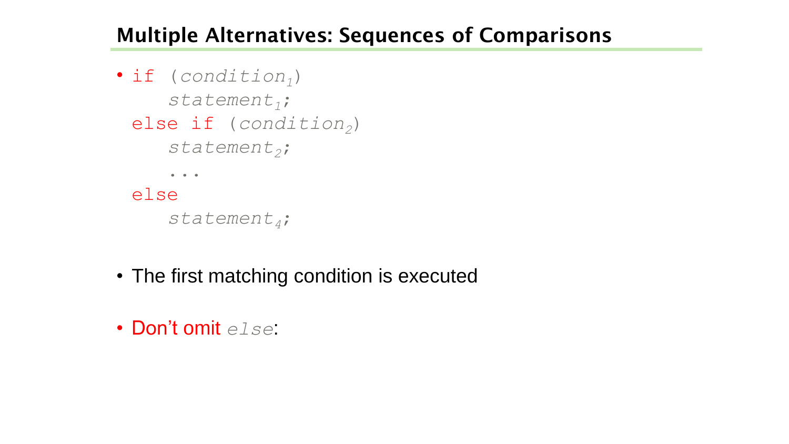#### **Multiple Alternatives: Sequences of Comparisons**

```
• if (condition1)
    statement1;
 else if (condition2)
    statement2;
     ...
 else
    statement4;
```
- The first matching condition is executed
- Don't omit *else*: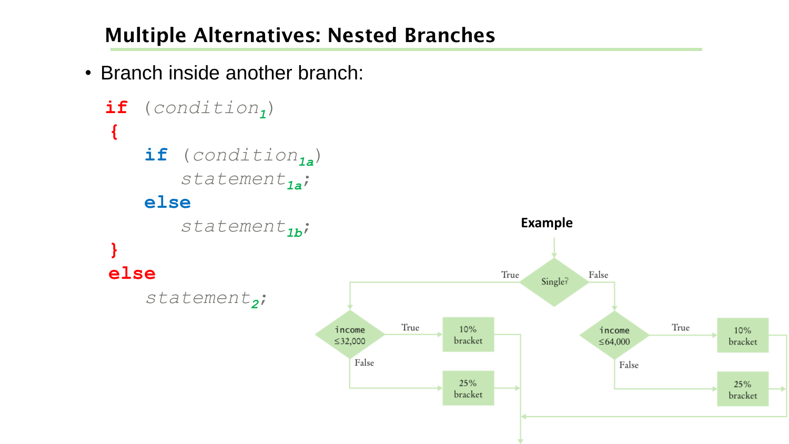## **Multiple Alternatives: Nested Branches**

• Branch inside another branch:



10%

bracket

25%

bracket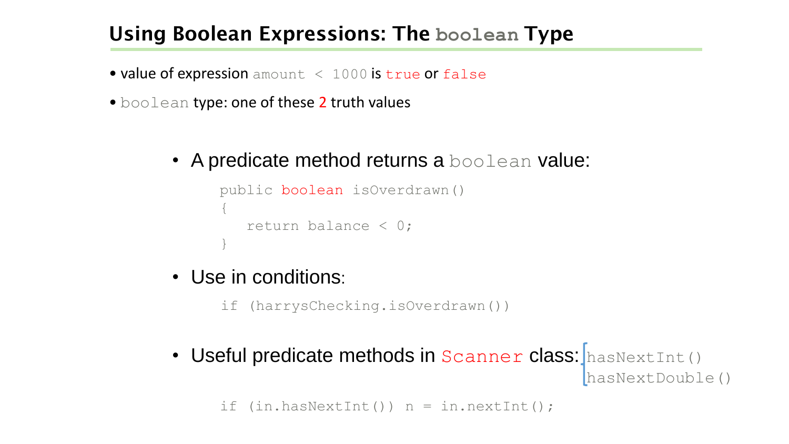#### **Using Boolean Expressions: The boolean Type**

- value of expression amount < 1000 is true or false
- boolean type: one of these 2 truth values
	- A predicate method returns a **boolean** value:

```
public boolean isOverdrawn() 
{
   return balance < 0; 
}
```
• Use in conditions:

if (harrysChecking.isOverdrawn())

• Useful predicate methods in Scanner class: hasNextInt() hasNextDouble()

```
if (in.hashextInt()) n = in.nextInt();
```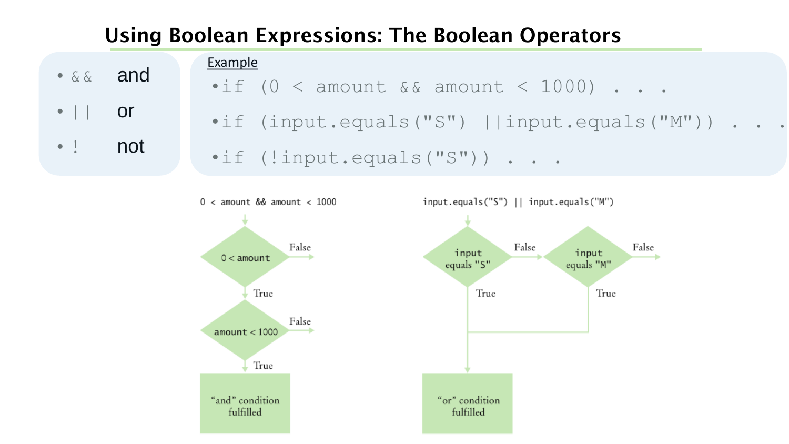## **Using Boolean Expressions: The Boolean Operators**

• && and  $\bullet$  || or

 $\texttt{if}$  (0 < amount && amount < 1000) . . . •if (input.equals("S") ||input.equals("M")) . . . Example

• ! not

•if (!input.equals("S")) . . .